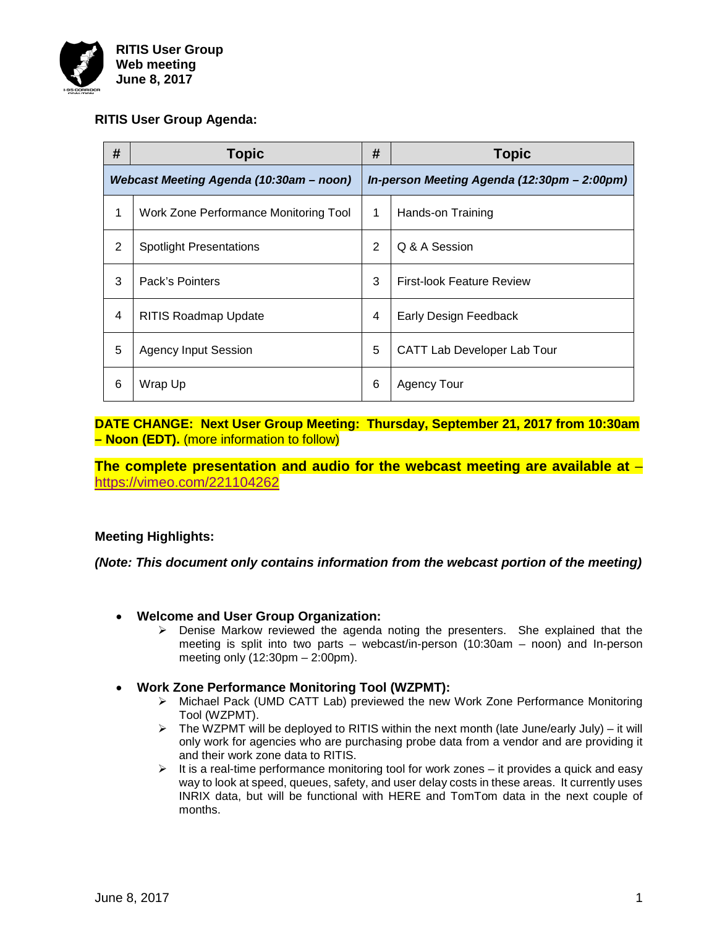

### **RITIS User Group Agenda:**

| #                                       | <b>Topic</b>                          | #                                           | <b>Topic</b>                     |
|-----------------------------------------|---------------------------------------|---------------------------------------------|----------------------------------|
| Webcast Meeting Agenda (10:30am - noon) |                                       | In-person Meeting Agenda (12:30pm - 2:00pm) |                                  |
| 1                                       | Work Zone Performance Monitoring Tool | 1                                           | Hands-on Training                |
| $\overline{2}$                          | <b>Spotlight Presentations</b>        | $\overline{2}$                              | Q & A Session                    |
| 3                                       | Pack's Pointers                       | 3                                           | <b>First-look Feature Review</b> |
| $\overline{4}$                          | <b>RITIS Roadmap Update</b>           | $\overline{4}$                              | Early Design Feedback            |
| 5                                       | <b>Agency Input Session</b>           | 5                                           | CATT Lab Developer Lab Tour      |
| 6                                       | Wrap Up                               | 6                                           | <b>Agency Tour</b>               |

**DATE CHANGE: Next User Group Meeting: Thursday, September 21, 2017 from 10:30am – Noon (EDT).** (more information to follow)

**The complete presentation and audio for the webcast meeting are available at** – <https://vimeo.com/221104262>

### **Meeting Highlights:**

*(Note: This document only contains information from the webcast portion of the meeting)*

- **Welcome and User Group Organization:**
	- $\triangleright$  Denise Markow reviewed the agenda noting the presenters. She explained that the meeting is split into two parts – webcast/in-person (10:30am – noon) and In-person meeting only (12:30pm – 2:00pm).
- **Work Zone Performance Monitoring Tool (WZPMT):** 
	- Michael Pack (UMD CATT Lab) previewed the new Work Zone Performance Monitoring Tool (WZPMT).
	- $\triangleright$  The WZPMT will be deployed to RITIS within the next month (late June/early July) it will only work for agencies who are purchasing probe data from a vendor and are providing it and their work zone data to RITIS.
	- $\triangleright$  It is a real-time performance monitoring tool for work zones it provides a quick and easy way to look at speed, queues, safety, and user delay costs in these areas. It currently uses INRIX data, but will be functional with HERE and TomTom data in the next couple of months.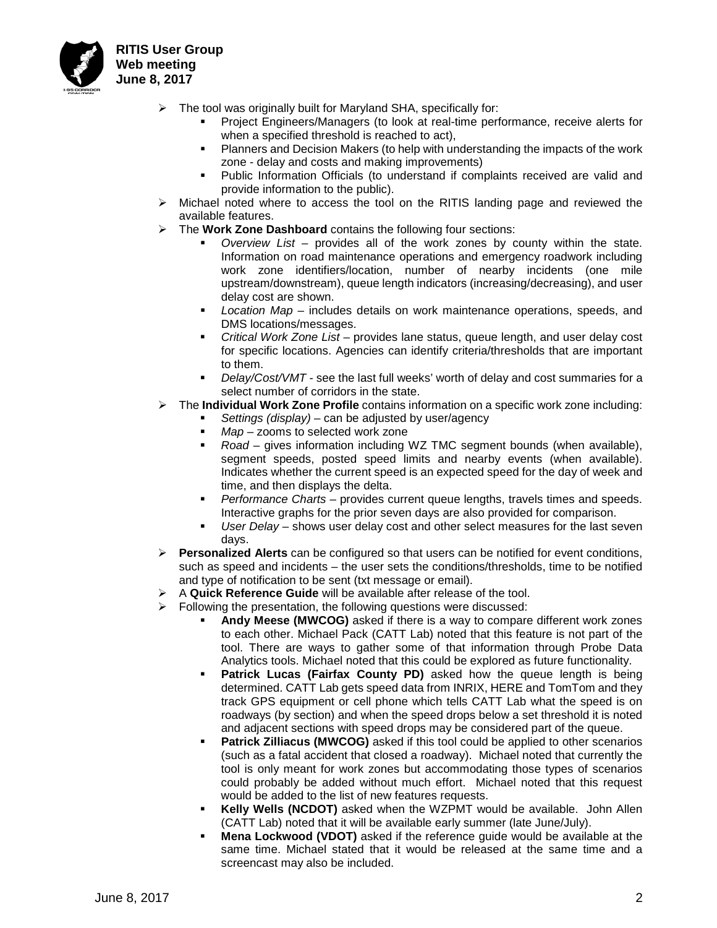

- $\triangleright$  The tool was originally built for Maryland SHA, specifically for:
	- Project Engineers/Managers (to look at real-time performance, receive alerts for when a specified threshold is reached to act),
	- Planners and Decision Makers (to help with understanding the impacts of the work zone - delay and costs and making improvements)
	- Public Information Officials (to understand if complaints received are valid and provide information to the public).
- $\triangleright$  Michael noted where to access the tool on the RITIS landing page and reviewed the available features.
- The **Work Zone Dashboard** contains the following four sections:
	- *Overview List* provides all of the work zones by county within the state. Information on road maintenance operations and emergency roadwork including work zone identifiers/location, number of nearby incidents (one mile upstream/downstream), queue length indicators (increasing/decreasing), and user delay cost are shown.
	- *Location Map* includes details on work maintenance operations, speeds, and DMS locations/messages.
	- *Critical Work Zone List* provides lane status, queue length, and user delay cost for specific locations. Agencies can identify criteria/thresholds that are important to them.
	- *Delay/Cost/VMT* see the last full weeks' worth of delay and cost summaries for a select number of corridors in the state.
- The **Individual Work Zone Profile** contains information on a specific work zone including:
	- *Settings (display)* can be adjusted by user/agency
		- *Map* zooms to selected work zone
		- *Road* gives information including WZ TMC segment bounds (when available), segment speeds, posted speed limits and nearby events (when available). Indicates whether the current speed is an expected speed for the day of week and time, and then displays the delta.
		- *Performance Charts* provides current queue lengths, travels times and speeds. Interactive graphs for the prior seven days are also provided for comparison.
		- *User Delay* shows user delay cost and other select measures for the last seven days.
- **Personalized Alerts** can be configured so that users can be notified for event conditions, such as speed and incidents – the user sets the conditions/thresholds, time to be notified and type of notification to be sent (txt message or email).
- A **Quick Reference Guide** will be available after release of the tool.
- Following the presentation, the following questions were discussed:
	- **Andy Meese (MWCOG)** asked if there is a way to compare different work zones to each other. Michael Pack (CATT Lab) noted that this feature is not part of the tool. There are ways to gather some of that information through Probe Data Analytics tools. Michael noted that this could be explored as future functionality.
	- **Patrick Lucas (Fairfax County PD)** asked how the queue length is being determined. CATT Lab gets speed data from INRIX, HERE and TomTom and they track GPS equipment or cell phone which tells CATT Lab what the speed is on roadways (by section) and when the speed drops below a set threshold it is noted and adjacent sections with speed drops may be considered part of the queue.
	- **Patrick Zilliacus (MWCOG)** asked if this tool could be applied to other scenarios (such as a fatal accident that closed a roadway). Michael noted that currently the tool is only meant for work zones but accommodating those types of scenarios could probably be added without much effort. Michael noted that this request would be added to the list of new features requests.
	- **Kelly Wells (NCDOT)** asked when the WZPMT would be available. John Allen (CATT Lab) noted that it will be available early summer (late June/July).
	- **Mena Lockwood (VDOT)** asked if the reference guide would be available at the same time. Michael stated that it would be released at the same time and a screencast may also be included.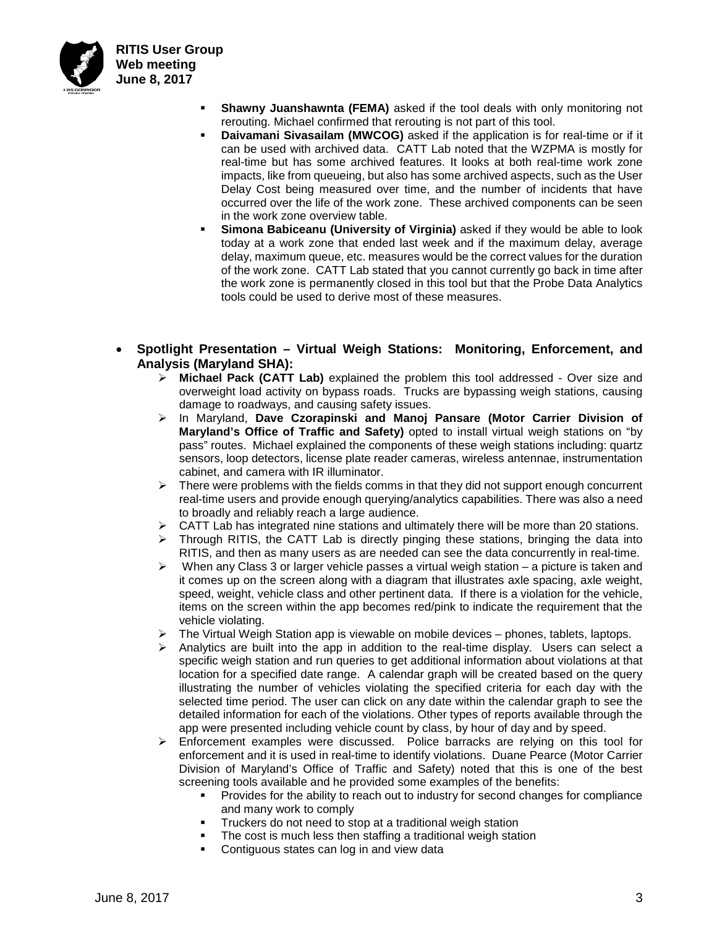

- **Shawny Juanshawnta (FEMA)** asked if the tool deals with only monitoring not rerouting. Michael confirmed that rerouting is not part of this tool.
- **Daivamani Sivasailam (MWCOG)** asked if the application is for real-time or if it can be used with archived data. CATT Lab noted that the WZPMA is mostly for real-time but has some archived features. It looks at both real-time work zone impacts, like from queueing, but also has some archived aspects, such as the User Delay Cost being measured over time, and the number of incidents that have occurred over the life of the work zone. These archived components can be seen in the work zone overview table.
- **Simona Babiceanu (University of Virginia)** asked if they would be able to look today at a work zone that ended last week and if the maximum delay, average delay, maximum queue, etc. measures would be the correct values for the duration of the work zone. CATT Lab stated that you cannot currently go back in time after the work zone is permanently closed in this tool but that the Probe Data Analytics tools could be used to derive most of these measures.
- **Spotlight Presentation – Virtual Weigh Stations: Monitoring, Enforcement, and Analysis (Maryland SHA):**
	- **Michael Pack (CATT Lab)** explained the problem this tool addressed Over size and overweight load activity on bypass roads. Trucks are bypassing weigh stations, causing damage to roadways, and causing safety issues.
	- In Maryland, **Dave Czorapinski and Manoj Pansare (Motor Carrier Division of Maryland's Office of Traffic and Safety)** opted to install virtual weigh stations on "by pass" routes. Michael explained the components of these weigh stations including: quartz sensors, loop detectors, license plate reader cameras, wireless antennae, instrumentation cabinet, and camera with IR illuminator.
	- $\triangleright$  There were problems with the fields comms in that they did not support enough concurrent real-time users and provide enough querying/analytics capabilities. There was also a need to broadly and reliably reach a large audience.
	- $\triangleright$  CATT Lab has integrated nine stations and ultimately there will be more than 20 stations.
	- $\triangleright$  Through RITIS, the CATT Lab is directly pinging these stations, bringing the data into RITIS, and then as many users as are needed can see the data concurrently in real-time.
	- $\triangleright$  When any Class 3 or larger vehicle passes a virtual weigh station a picture is taken and it comes up on the screen along with a diagram that illustrates axle spacing, axle weight, speed, weight, vehicle class and other pertinent data. If there is a violation for the vehicle, items on the screen within the app becomes red/pink to indicate the requirement that the vehicle violating.
	- The Virtual Weigh Station app is viewable on mobile devices phones, tablets, laptops.
	- $\triangleright$  Analytics are built into the app in addition to the real-time display. Users can select a specific weigh station and run queries to get additional information about violations at that location for a specified date range. A calendar graph will be created based on the query illustrating the number of vehicles violating the specified criteria for each day with the selected time period. The user can click on any date within the calendar graph to see the detailed information for each of the violations. Other types of reports available through the app were presented including vehicle count by class, by hour of day and by speed.
	- $\triangleright$  Enforcement examples were discussed. Police barracks are relying on this tool for enforcement and it is used in real-time to identify violations. Duane Pearce (Motor Carrier Division of Maryland's Office of Traffic and Safety) noted that this is one of the best screening tools available and he provided some examples of the benefits:
		- Provides for the ability to reach out to industry for second changes for compliance and many work to comply
		- **Truckers do not need to stop at a traditional weigh station**
		- The cost is much less then staffing a traditional weigh station<br>Contiguous states can log in and view data
		- Contiguous states can log in and view data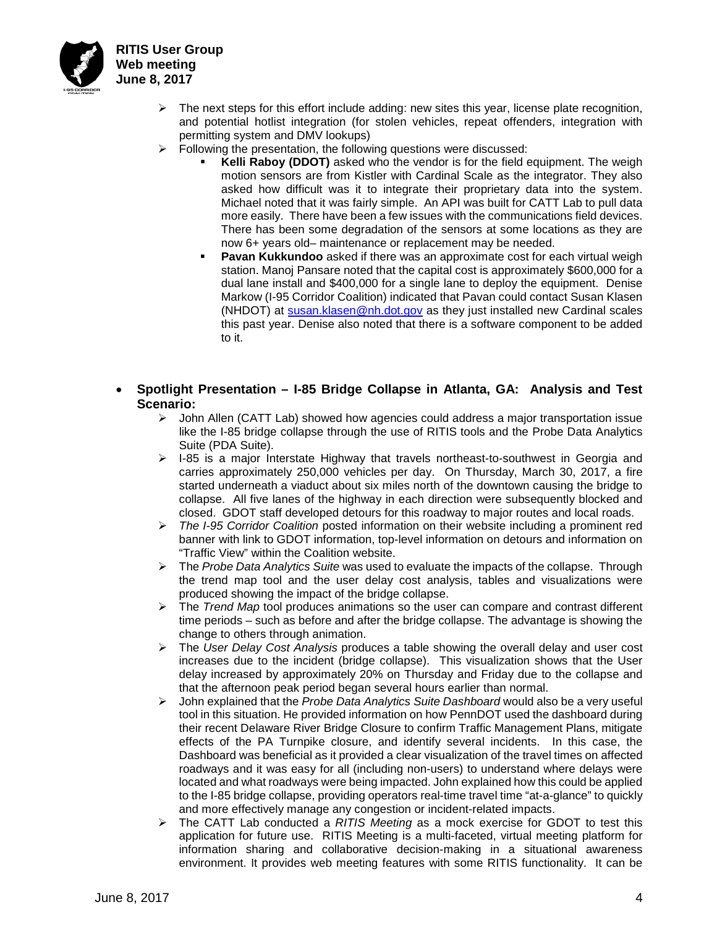

- $\triangleright$  The next steps for this effort include adding: new sites this year, license plate recognition, and potential hotlist integration (for stolen vehicles, repeat offenders, integration with permitting system and DMV lookups)
- $\triangleright$  Following the presentation, the following questions were discussed:
	- **Kelli Raboy (DDOT)** asked who the vendor is for the field equipment. The weigh motion sensors are from Kistler with Cardinal Scale as the integrator. They also asked how difficult was it to integrate their proprietary data into the system. Michael noted that it was fairly simple. An API was built for CATT Lab to pull data more easily. There have been a few issues with the communications field devices. There has been some degradation of the sensors at some locations as they are now 6+ years old– maintenance or replacement may be needed.
	- **Pavan Kukkundoo** asked if there was an approximate cost for each virtual weigh station. Manoj Pansare noted that the capital cost is approximately \$600,000 for a dual lane install and \$400,000 for a single lane to deploy the equipment. Denise Markow (I-95 Corridor Coalition) indicated that Pavan could contact Susan Klasen (NHDOT) at [susan.klasen@nh.dot.gov](mailto:susan.klasen@nh.dot.gov) as they just installed new Cardinal scales this past year. Denise also noted that there is a software component to be added to it.
- **Spotlight Presentation – I-85 Bridge Collapse in Atlanta, GA: Analysis and Test Scenario:**<br>Joh
	- John Allen (CATT Lab) showed how agencies could address a major transportation issue like the I-85 bridge collapse through the use of RITIS tools and the Probe Data Analytics Suite (PDA Suite).
	- $\triangleright$  I-85 is a major Interstate Highway that travels northeast-to-southwest in Georgia and carries approximately 250,000 vehicles per day. On Thursday, March 30, 2017, a fire started underneath a viaduct about six miles north of the downtown causing the bridge to collapse. All five lanes of the highway in each direction were subsequently blocked and closed. GDOT staff developed detours for this roadway to major routes and local roads.
	- *The I-95 Corridor Coalition* posted information on their website including a prominent red banner with link to GDOT information, top-level information on detours and information on "Traffic View" within the Coalition website.
	- The *Probe Data Analytics Suite* was used to evaluate the impacts of the collapse. Through the trend map tool and the user delay cost analysis, tables and visualizations were produced showing the impact of the bridge collapse.
	- The *Trend Map* tool produces animations so the user can compare and contrast different time periods – such as before and after the bridge collapse. The advantage is showing the change to others through animation.
	- The *User Delay Cost Analysis* produces a table showing the overall delay and user cost increases due to the incident (bridge collapse). This visualization shows that the User delay increased by approximately 20% on Thursday and Friday due to the collapse and that the afternoon peak period began several hours earlier than normal.
	- John explained that the *Probe Data Analytics Suite Dashboard* would also be a very useful tool in this situation. He provided information on how PennDOT used the dashboard during their recent Delaware River Bridge Closure to confirm Traffic Management Plans, mitigate effects of the PA Turnpike closure, and identify several incidents. In this case, the Dashboard was beneficial as it provided a clear visualization of the travel times on affected roadways and it was easy for all (including non-users) to understand where delays were located and what roadways were being impacted. John explained how this could be applied to the I-85 bridge collapse, providing operators real-time travel time "at-a-glance" to quickly and more effectively manage any congestion or incident-related impacts.
	- The CATT Lab conducted a *RITIS Meeting* as a mock exercise for GDOT to test this application for future use. RITIS Meeting is a multi-faceted, virtual meeting platform for information sharing and collaborative decision-making in a situational awareness environment. It provides web meeting features with some RITIS functionality. It can be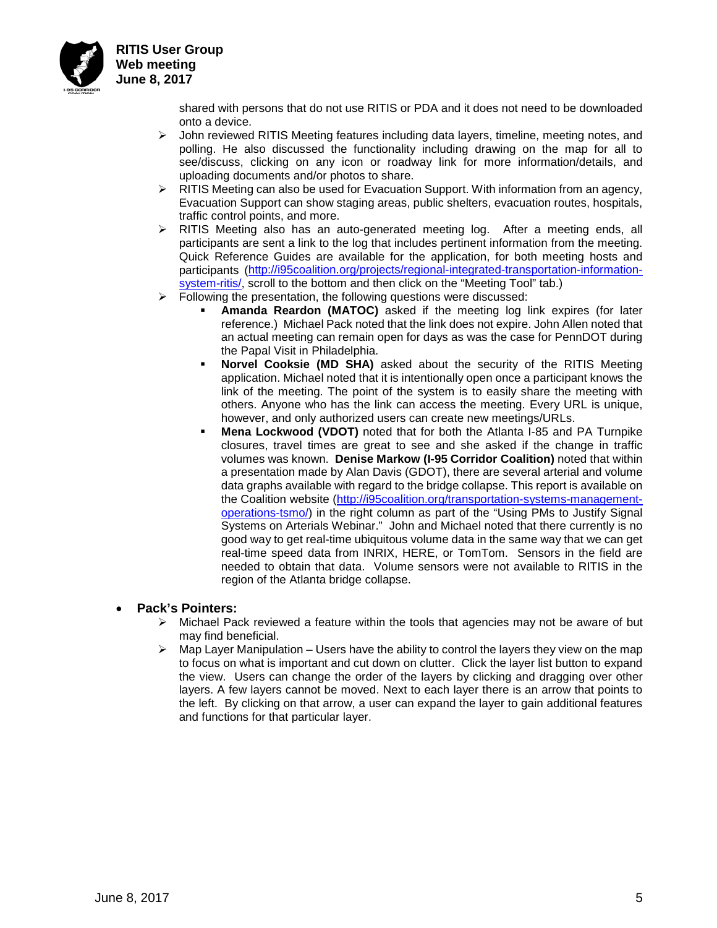

**RITIS User Group Web meeting June 8, 2017**

> shared with persons that do not use RITIS or PDA and it does not need to be downloaded onto a device.

- $\triangleright$  John reviewed RITIS Meeting features including data layers, timeline, meeting notes, and polling. He also discussed the functionality including drawing on the map for all to see/discuss, clicking on any icon or roadway link for more information/details, and uploading documents and/or photos to share.
- $\triangleright$  RITIS Meeting can also be used for Evacuation Support. With information from an agency, Evacuation Support can show staging areas, public shelters, evacuation routes, hospitals, traffic control points, and more.
- RITIS Meeting also has an auto-generated meeting log. After a meeting ends, all participants are sent a link to the log that includes pertinent information from the meeting. Quick Reference Guides are available for the application, for both meeting hosts and participants [\(http://i95coalition.org/projects/regional-integrated-transportation-information](http://i95coalition.org/projects/regional-integrated-transportation-information-system-ritis/)[system-ritis/,](http://i95coalition.org/projects/regional-integrated-transportation-information-system-ritis/) scroll to the bottom and then click on the "Meeting Tool" tab.)
- $\triangleright$  Following the presentation, the following questions were discussed:
	- **Amanda Reardon (MATOC)** asked if the meeting log link expires (for later reference.) Michael Pack noted that the link does not expire. John Allen noted that an actual meeting can remain open for days as was the case for PennDOT during the Papal Visit in Philadelphia.
	- **Norvel Cooksie (MD SHA)** asked about the security of the RITIS Meeting application. Michael noted that it is intentionally open once a participant knows the link of the meeting. The point of the system is to easily share the meeting with others. Anyone who has the link can access the meeting. Every URL is unique, however, and only authorized users can create new meetings/URLs.
	- **Mena Lockwood (VDOT)** noted that for both the Atlanta I-85 and PA Turnpike closures, travel times are great to see and she asked if the change in traffic volumes was known. **Denise Markow (I-95 Corridor Coalition)** noted that within a presentation made by Alan Davis (GDOT), there are several arterial and volume data graphs available with regard to the bridge collapse. This report is available on the Coalition website [\(http://i95coalition.org/transportation-systems-management](http://i95coalition.org/transportation-systems-management-operations-tsmo/)[operations-tsmo/\)](http://i95coalition.org/transportation-systems-management-operations-tsmo/) in the right column as part of the "Using PMs to Justify Signal Systems on Arterials Webinar." John and Michael noted that there currently is no good way to get real-time ubiquitous volume data in the same way that we can get real-time speed data from INRIX, HERE, or TomTom. Sensors in the field are needed to obtain that data. Volume sensors were not available to RITIS in the region of the Atlanta bridge collapse.

#### • **Pack's Pointers:**

- $\triangleright$  Michael Pack reviewed a feature within the tools that agencies may not be aware of but may find beneficial.
- $\triangleright$  Map Layer Manipulation Users have the ability to control the layers they view on the map to focus on what is important and cut down on clutter. Click the layer list button to expand the view. Users can change the order of the layers by clicking and dragging over other layers. A few layers cannot be moved. Next to each layer there is an arrow that points to the left. By clicking on that arrow, a user can expand the layer to gain additional features and functions for that particular layer.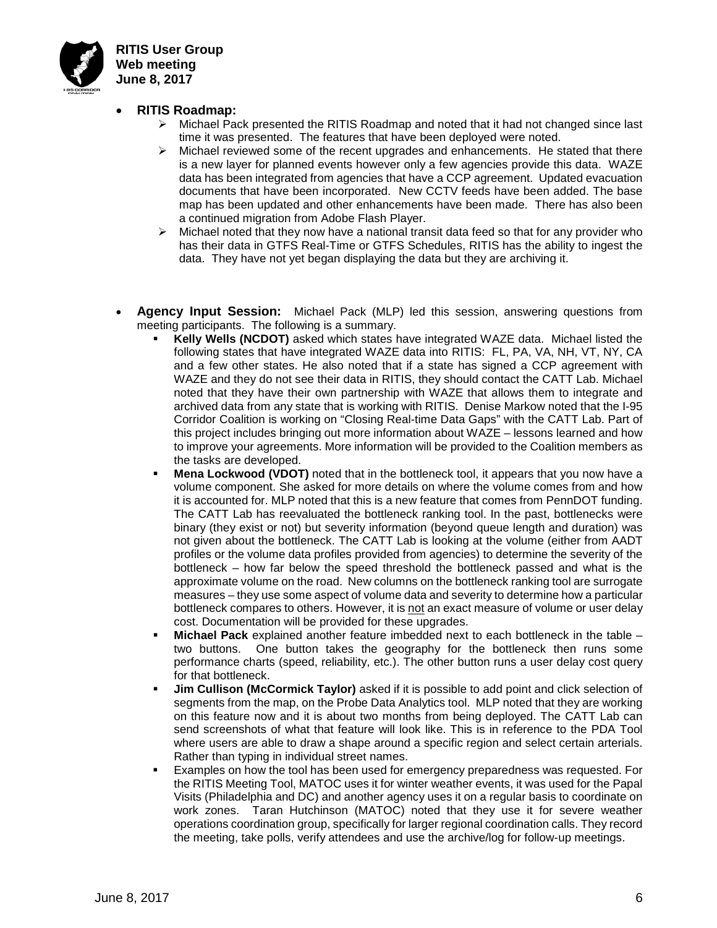

**RITIS User Group Web meeting June 8, 2017**

#### • **RITIS Roadmap:**

- $\triangleright$  Michael Pack presented the RITIS Roadmap and noted that it had not changed since last time it was presented. The features that have been deployed were noted.
- $\triangleright$  Michael reviewed some of the recent upgrades and enhancements. He stated that there is a new layer for planned events however only a few agencies provide this data. WAZE data has been integrated from agencies that have a CCP agreement. Updated evacuation documents that have been incorporated. New CCTV feeds have been added. The base map has been updated and other enhancements have been made. There has also been a continued migration from Adobe Flash Player.
- $\triangleright$  Michael noted that they now have a national transit data feed so that for any provider who has their data in GTFS Real-Time or GTFS Schedules, RITIS has the ability to ingest the data. They have not yet began displaying the data but they are archiving it.
- **Agency Input Session:** Michael Pack (MLP) led this session, answering questions from meeting participants. The following is a summary.
	- **Kelly Wells (NCDOT)** asked which states have integrated WAZE data. Michael listed the following states that have integrated WAZE data into RITIS: FL, PA, VA, NH, VT, NY, CA and a few other states. He also noted that if a state has signed a CCP agreement with WAZE and they do not see their data in RITIS, they should contact the CATT Lab. Michael noted that they have their own partnership with WAZE that allows them to integrate and archived data from any state that is working with RITIS. Denise Markow noted that the I-95 Corridor Coalition is working on "Closing Real-time Data Gaps" with the CATT Lab. Part of this project includes bringing out more information about WAZE – lessons learned and how to improve your agreements. More information will be provided to the Coalition members as the tasks are developed.
	- **Mena Lockwood (VDOT)** noted that in the bottleneck tool, it appears that you now have a volume component. She asked for more details on where the volume comes from and how it is accounted for. MLP noted that this is a new feature that comes from PennDOT funding. The CATT Lab has reevaluated the bottleneck ranking tool. In the past, bottlenecks were binary (they exist or not) but severity information (beyond queue length and duration) was not given about the bottleneck. The CATT Lab is looking at the volume (either from AADT profiles or the volume data profiles provided from agencies) to determine the severity of the bottleneck – how far below the speed threshold the bottleneck passed and what is the approximate volume on the road. New columns on the bottleneck ranking tool are surrogate measures – they use some aspect of volume data and severity to determine how a particular bottleneck compares to others. However, it is not an exact measure of volume or user delay cost. Documentation will be provided for these upgrades.
	- **Michael Pack** explained another feature imbedded next to each bottleneck in the table two buttons. One button takes the geography for the bottleneck then runs some performance charts (speed, reliability, etc.). The other button runs a user delay cost query for that bottleneck.
	- **Jim Cullison (McCormick Taylor)** asked if it is possible to add point and click selection of segments from the map, on the Probe Data Analytics tool. MLP noted that they are working on this feature now and it is about two months from being deployed. The CATT Lab can send screenshots of what that feature will look like. This is in reference to the PDA Tool where users are able to draw a shape around a specific region and select certain arterials. Rather than typing in individual street names.
	- Examples on how the tool has been used for emergency preparedness was requested. For the RITIS Meeting Tool, MATOC uses it for winter weather events, it was used for the Papal Visits (Philadelphia and DC) and another agency uses it on a regular basis to coordinate on work zones. Taran Hutchinson (MATOC) noted that they use it for severe weather operations coordination group, specifically for larger regional coordination calls. They record the meeting, take polls, verify attendees and use the archive/log for follow-up meetings.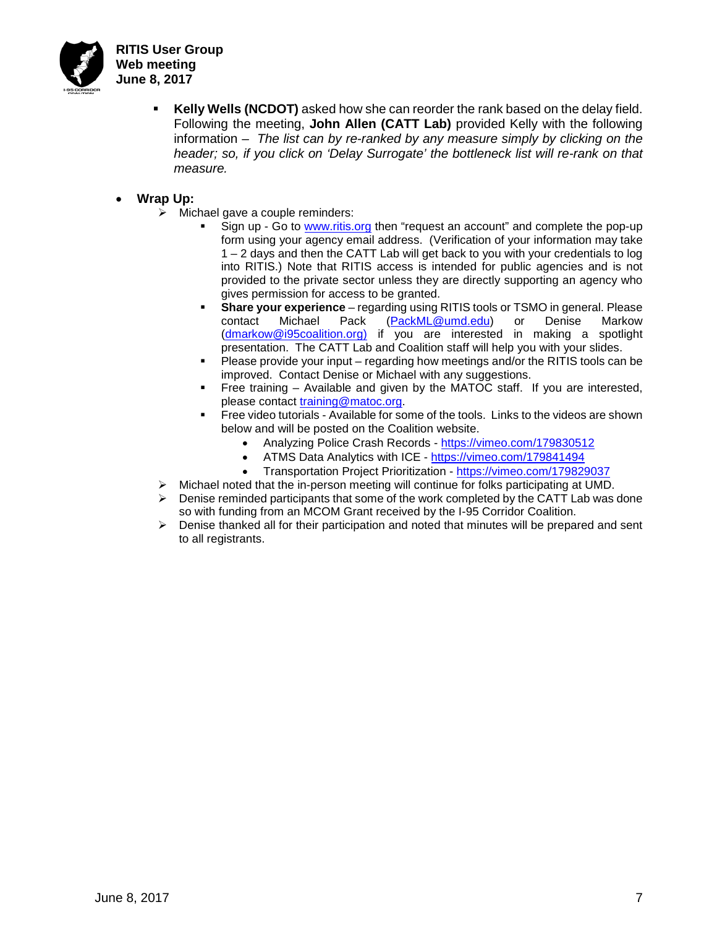

- **Kelly Wells (NCDOT)** asked how she can reorder the rank based on the delay field. Following the meeting, **John Allen (CATT Lab)** provided Kelly with the following information – *The list can by re-ranked by any measure simply by clicking on the header; so, if you click on 'Delay Surrogate' the bottleneck list will re-rank on that measure.*
- **Wrap Up:**
	- $\triangleright$  Michael gave a couple reminders:
		- Sign up Go to [www.ritis.org](http://www.ritis.org/) then "request an account" and complete the pop-up form using your agency email address. (Verification of your information may take 1 – 2 days and then the CATT Lab will get back to you with your credentials to log into RITIS.) Note that RITIS access is intended for public agencies and is not provided to the private sector unless they are directly supporting an agency who gives permission for access to be granted.
		- **Share your experience** regarding using RITIS tools or TSMO in general. Please contact Michael Pack [\(PackML@umd.edu\)](mailto:PackML@umd.edu) or Denise Markow [\(dmarkow@i95coalition.org\)](mailto:dmarkow@i95coalition.org) if you are interested in making a spotlight presentation. The CATT Lab and Coalition staff will help you with your slides.
		- Please provide your input regarding how meetings and/or the RITIS tools can be improved. Contact Denise or Michael with any suggestions.
		- Free training Available and given by the MATOC staff. If you are interested, please contact [training@matoc.org.](mailto:training@matoc.org)
		- Free video tutorials Available for some of the tools. Links to the videos are shown below and will be posted on the Coalition website.
			- Analyzing Police Crash Records <https://vimeo.com/179830512>
			- ATMS Data Analytics with ICE <https://vimeo.com/179841494>
			- Transportation Project Prioritization <https://vimeo.com/179829037>
	- $\triangleright$  Michael noted that the in-person meeting will continue for folks participating at UMD.
	- $\triangleright$  Denise reminded participants that some of the work completed by the CATT Lab was done so with funding from an MCOM Grant received by the I-95 Corridor Coalition.
	- $\triangleright$  Denise thanked all for their participation and noted that minutes will be prepared and sent to all registrants.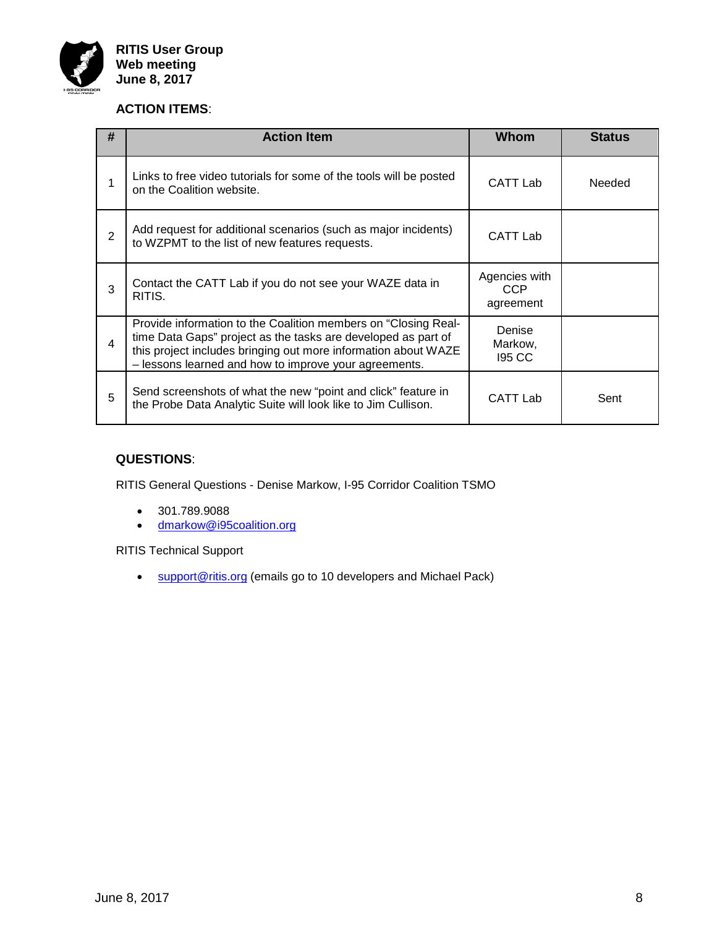

### **ACTION ITEMS**:

| # | <b>Action Item</b>                                                                                                                                                                                                                                         | <b>Whom</b>                              | <b>Status</b> |
|---|------------------------------------------------------------------------------------------------------------------------------------------------------------------------------------------------------------------------------------------------------------|------------------------------------------|---------------|
|   | Links to free video tutorials for some of the tools will be posted<br>on the Coalition website.                                                                                                                                                            | CATT Lab                                 | <b>Needed</b> |
| 2 | Add request for additional scenarios (such as major incidents)<br>to WZPMT to the list of new features requests.                                                                                                                                           | CATT Lab                                 |               |
| 3 | Contact the CATT Lab if you do not see your WAZE data in<br>RITIS.                                                                                                                                                                                         | Agencies with<br><b>CCP</b><br>agreement |               |
| 4 | Provide information to the Coalition members on "Closing Real-<br>time Data Gaps" project as the tasks are developed as part of<br>this project includes bringing out more information about WAZE<br>- lessons learned and how to improve your agreements. | Denise<br>Markow,<br><b>195 CC</b>       |               |
| 5 | Send screenshots of what the new "point and click" feature in<br>the Probe Data Analytic Suite will look like to Jim Cullison.                                                                                                                             | CATT Lab                                 | Sent          |

### **QUESTIONS**:

RITIS General Questions - Denise Markow, I-95 Corridor Coalition TSMO

- 301.789.9088
- [dmarkow@i95coalition.org](mailto:dmarkow@i95coalition.org)

RITIS Technical Support

• [support@ritis.org](mailto:support@ritis.org) (emails go to 10 developers and Michael Pack)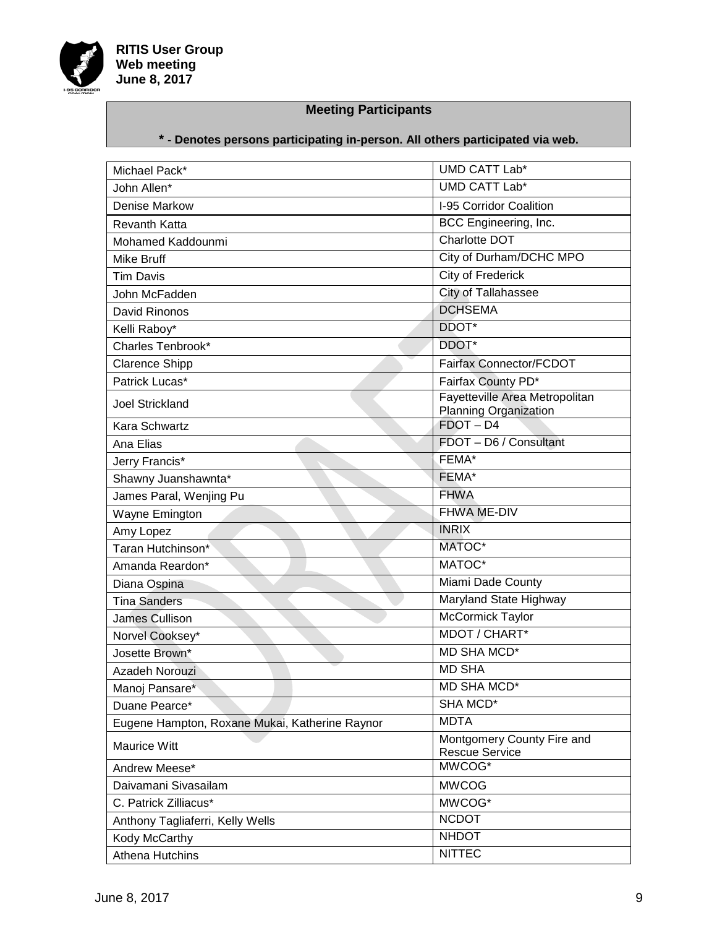

## **Meeting Participants**

# **\* - Denotes persons participating in-person. All others participated via web.**

| Michael Pack*                                  | UMD CATT Lab*                                           |
|------------------------------------------------|---------------------------------------------------------|
| John Allen*                                    | UMD CATT Lab*                                           |
| Denise Markow                                  | I-95 Corridor Coalition                                 |
| <b>Revanth Katta</b>                           | BCC Engineering, Inc.                                   |
| Mohamed Kaddounmi                              | Charlotte DOT                                           |
| Mike Bruff                                     | City of Durham/DCHC MPO                                 |
| <b>Tim Davis</b>                               | City of Frederick                                       |
| John McFadden                                  | City of Tallahassee                                     |
| David Rinonos                                  | <b>DCHSEMA</b>                                          |
| Kelli Raboy*                                   | DDOT*                                                   |
| Charles Tenbrook*                              | DDOT*                                                   |
| <b>Clarence Shipp</b>                          | Fairfax Connector/FCDOT                                 |
| Patrick Lucas*                                 | Fairfax County PD*                                      |
| <b>Joel Strickland</b>                         | Fayetteville Area Metropolitan<br>Planning Organization |
| Kara Schwartz                                  | $FDOT - D4$                                             |
| Ana Elias                                      | FDOT - D6 / Consultant                                  |
| Jerry Francis*                                 | FEMA*                                                   |
| Shawny Juanshawnta*                            | FEMA*                                                   |
| James Paral, Wenjing Pu                        | <b>FHWA</b>                                             |
| Wayne Emington                                 | FHWA ME-DIV                                             |
| Amy Lopez                                      | <b>INRIX</b>                                            |
| Taran Hutchinson*                              | MATOC*                                                  |
| Amanda Reardon*                                | MATOC*                                                  |
| Diana Ospina                                   | Miami Dade County                                       |
| <b>Tina Sanders</b>                            | Maryland State Highway                                  |
| James Cullison                                 | <b>McCormick Taylor</b>                                 |
| Norvel Cooksey*                                | MDOT / CHART*                                           |
| Josette Brown*                                 | <b>MD SHA MCD*</b>                                      |
| Azadeh Norouzi                                 | <b>MD SHA</b>                                           |
| Manoj Pansare*                                 | <b>MD SHA MCD*</b>                                      |
| Duane Pearce*                                  | SHA MCD*                                                |
| Eugene Hampton, Roxane Mukai, Katherine Raynor | <b>MDTA</b>                                             |
| <b>Maurice Witt</b>                            | Montgomery County Fire and<br><b>Rescue Service</b>     |
| Andrew Meese*                                  | MWCOG*                                                  |
| Daivamani Sivasailam                           | <b>MWCOG</b>                                            |
| C. Patrick Zilliacus*                          | MWCOG*                                                  |
| Anthony Tagliaferri, Kelly Wells               | <b>NCDOT</b>                                            |
| Kody McCarthy                                  | <b>NHDOT</b>                                            |
| <b>Athena Hutchins</b>                         | <b>NITTEC</b>                                           |